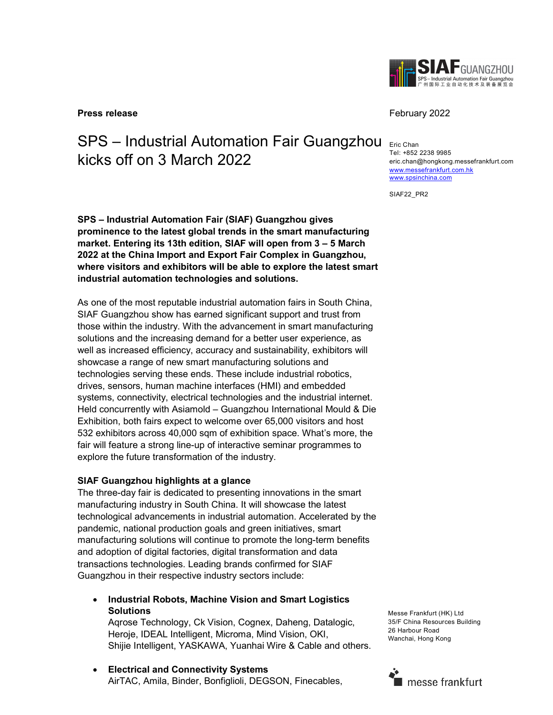

**Press release** February 2022

# SPS – Industrial Automation Fair Guangzhou kicks off on 3 March 2022

SPS – Industrial Automation Fair (SIAF) Guangzhou gives prominence to the latest global trends in the smart manufacturing market. Entering its 13th edition, SIAF will open from 3 – 5 March 2022 at the China Import and Export Fair Complex in Guangzhou, where visitors and exhibitors will be able to explore the latest smart industrial automation technologies and solutions.

As one of the most reputable industrial automation fairs in South China, SIAF Guangzhou show has earned significant support and trust from those within the industry. With the advancement in smart manufacturing solutions and the increasing demand for a better user experience, as well as increased efficiency, accuracy and sustainability, exhibitors will showcase a range of new smart manufacturing solutions and technologies serving these ends. These include industrial robotics, drives, sensors, human machine interfaces (HMI) and embedded systems, connectivity, electrical technologies and the industrial internet. Held concurrently with Asiamold – Guangzhou International Mould & Die Exhibition, both fairs expect to welcome over 65,000 visitors and host 532 exhibitors across 40,000 sqm of exhibition space. What's more, the fair will feature a strong line-up of interactive seminar programmes to explore the future transformation of the industry.

## SIAF Guangzhou highlights at a glance

The three-day fair is dedicated to presenting innovations in the smart manufacturing industry in South China. It will showcase the latest technological advancements in industrial automation. Accelerated by the pandemic, national production goals and green initiatives, smart manufacturing solutions will continue to promote the long-term benefits and adoption of digital factories, digital transformation and data transactions technologies. Leading brands confirmed for SIAF Guangzhou in their respective industry sectors include:

 Industrial Robots, Machine Vision and Smart Logistics **Solutions** 

Aqrose Technology, Ck Vision, Cognex, Daheng, Datalogic, Heroje, IDEAL Intelligent, Microma, Mind Vision, OKI, Shijie Intelligent, YASKAWA, Yuanhai Wire & Cable and others.

 Electrical and Connectivity Systems AirTAC, Amila, Binder, Bonfiglioli, DEGSON, Finecables,

Eric Chan Tel: +852 2238 9985 eric.chan@hongkong.messefrankfurt.com www.messefrankfurt.com.hk www.spsinchina.com

SIAF22\_PR2

Messe Frankfurt (HK) Ltd 35/F China Resources Building 26 Harbour Road Wanchai, Hong Kong

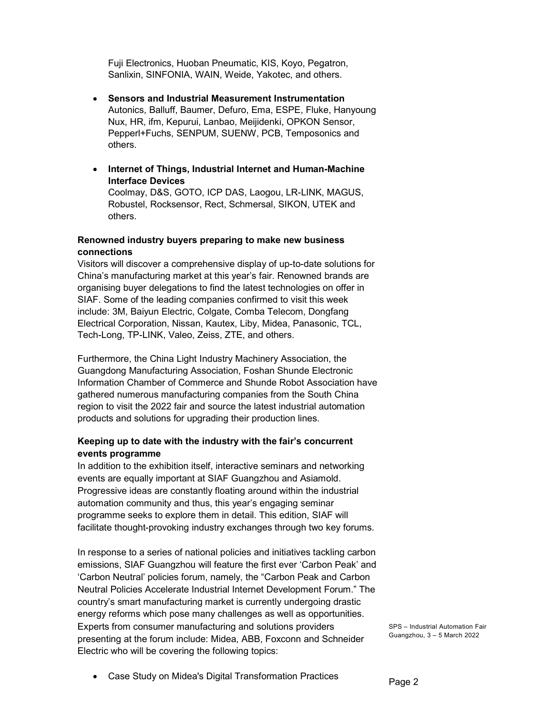Fuji Electronics, Huoban Pneumatic, KIS, Koyo, Pegatron, Sanlixin, SINFONIA, WAIN, Weide, Yakotec, and others.

- Sensors and Industrial Measurement Instrumentation Autonics, Balluff, Baumer, Defuro, Ema, ESPE, Fluke, Hanyoung Nux, HR, ifm, Kepurui, Lanbao, Meijidenki, OPKON Sensor, Pepperl+Fuchs, SENPUM, SUENW, PCB, Temposonics and others.
- Internet of Things, Industrial Internet and Human-Machine Interface Devices Coolmay, D&S, GOTO, ICP DAS, Laogou, LR-LINK, MAGUS,

Robustel, Rocksensor, Rect, Schmersal, SIKON, UTEK and others.

# Renowned industry buyers preparing to make new business connections

Visitors will discover a comprehensive display of up-to-date solutions for China's manufacturing market at this year's fair. Renowned brands are organising buyer delegations to find the latest technologies on offer in SIAF. Some of the leading companies confirmed to visit this week include: 3M, Baiyun Electric, Colgate, Comba Telecom, Dongfang Electrical Corporation, Nissan, Kautex, Liby, Midea, Panasonic, TCL, Tech-Long, TP-LINK, Valeo, Zeiss, ZTE, and others.

Furthermore, the China Light Industry Machinery Association, the Guangdong Manufacturing Association, Foshan Shunde Electronic Information Chamber of Commerce and Shunde Robot Association have gathered numerous manufacturing companies from the South China region to visit the 2022 fair and source the latest industrial automation products and solutions for upgrading their production lines.

# Keeping up to date with the industry with the fair's concurrent events programme

In addition to the exhibition itself, interactive seminars and networking events are equally important at SIAF Guangzhou and Asiamold. Progressive ideas are constantly floating around within the industrial automation community and thus, this year's engaging seminar programme seeks to explore them in detail. This edition, SIAF will facilitate thought-provoking industry exchanges through two key forums.

In response to a series of national policies and initiatives tackling carbon emissions, SIAF Guangzhou will feature the first ever 'Carbon Peak' and 'Carbon Neutral' policies forum, namely, the "Carbon Peak and Carbon Neutral Policies Accelerate Industrial Internet Development Forum." The country's smart manufacturing market is currently undergoing drastic energy reforms which pose many challenges as well as opportunities. Experts from consumer manufacturing and solutions providers presenting at the forum include: Midea, ABB, Foxconn and Schneider Electric who will be covering the following topics:

SPS – Industrial Automation Fair Guangzhou, 3 – 5 March 2022

Case Study on Midea's Digital Transformation Practices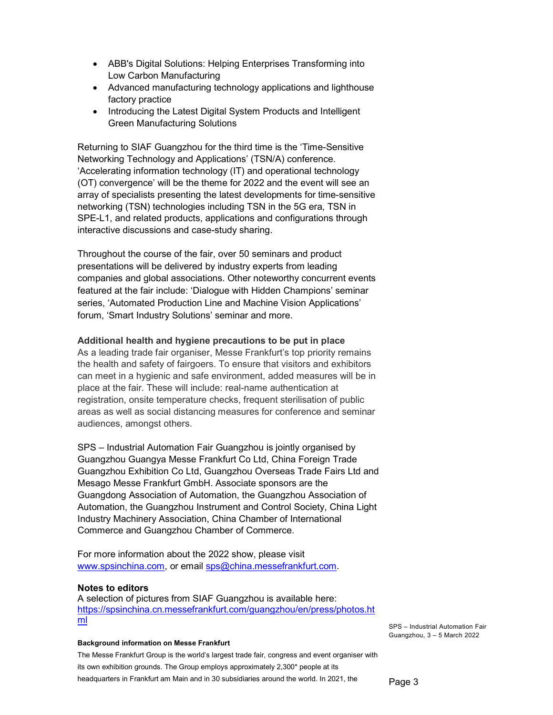- ABB's Digital Solutions: Helping Enterprises Transforming into Low Carbon Manufacturing
- Advanced manufacturing technology applications and lighthouse factory practice
- Introducing the Latest Digital System Products and Intelligent Green Manufacturing Solutions

Returning to SIAF Guangzhou for the third time is the 'Time-Sensitive Networking Technology and Applications' (TSN/A) conference. 'Accelerating information technology (IT) and operational technology (OT) convergence' will be the theme for 2022 and the event will see an array of specialists presenting the latest developments for time-sensitive networking (TSN) technologies including TSN in the 5G era, TSN in SPE-L1, and related products, applications and configurations through interactive discussions and case-study sharing.

Throughout the course of the fair, over 50 seminars and product presentations will be delivered by industry experts from leading companies and global associations. Other noteworthy concurrent events featured at the fair include: 'Dialogue with Hidden Champions' seminar series, 'Automated Production Line and Machine Vision Applications' forum, 'Smart Industry Solutions' seminar and more.

### Additional health and hygiene precautions to be put in place

As a leading trade fair organiser, Messe Frankfurt's top priority remains the health and safety of fairgoers. To ensure that visitors and exhibitors can meet in a hygienic and safe environment, added measures will be in place at the fair. These will include: real-name authentication at registration, onsite temperature checks, frequent sterilisation of public areas as well as social distancing measures for conference and seminar audiences, amongst others.

SPS – Industrial Automation Fair Guangzhou is jointly organised by Guangzhou Guangya Messe Frankfurt Co Ltd, China Foreign Trade Guangzhou Exhibition Co Ltd, Guangzhou Overseas Trade Fairs Ltd and Mesago Messe Frankfurt GmbH. Associate sponsors are the Guangdong Association of Automation, the Guangzhou Association of Automation, the Guangzhou Instrument and Control Society, China Light Industry Machinery Association, China Chamber of International Commerce and Guangzhou Chamber of Commerce.

For more information about the 2022 show, please visit www.spsinchina.com, or email sps@china.messefrankfurt.com.

#### Notes to editors

A selection of pictures from SIAF Guangzhou is available here: https://spsinchina.cn.messefrankfurt.com/guangzhou/en/press/photos.ht ml

#### Background information on Messe Frankfurt

The Messe Frankfurt Group is the world's largest trade fair, congress and event organiser with its own exhibition grounds. The Group employs approximately 2,300\* people at its headquarters in Frankfurt am Main and in 30 subsidiaries around the world. In 2021, the

SPS – Industrial Automation Fair Guangzhou, 3 – 5 March 2022